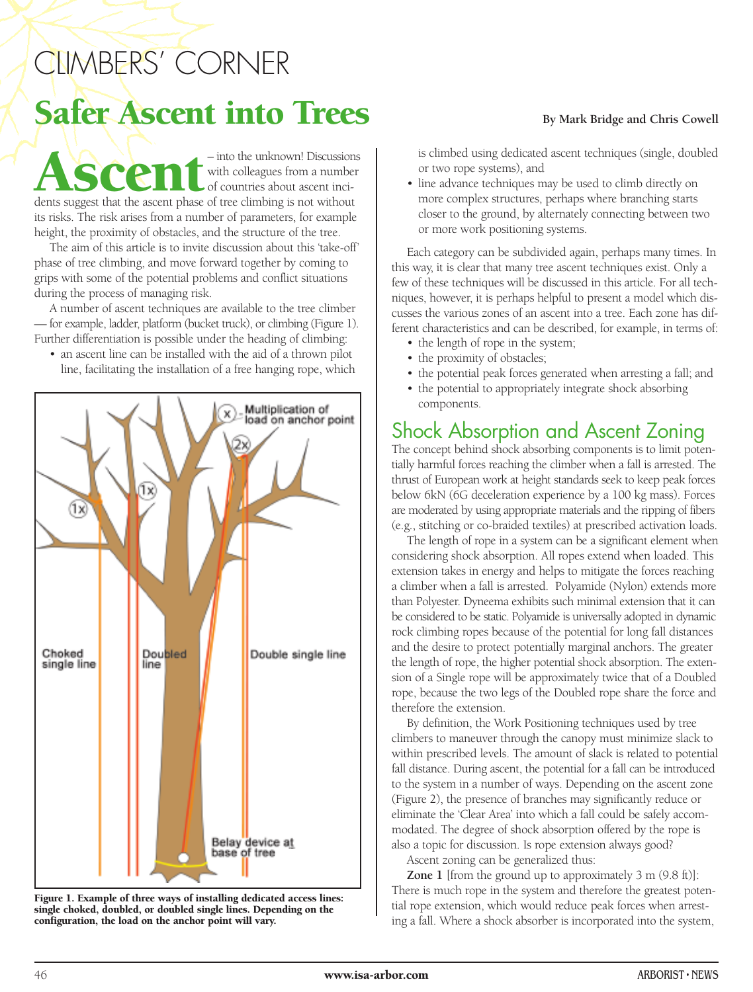# CLIMBERS' CORNER Safer Ascent into Trees<br>By Mark Bridge and Chris Cowell

Ascentisedents suggest that the ascent phase of tree climbing is not without with colleagues from a number of countries about ascent inciits risks. The risk arises from a number of parameters, for example height, the proximity of obstacles, and the structure of the tree.

The aim of this article is to invite discussion about this 'take-off' phase of tree climbing, and move forward together by coming to grips with some of the potential problems and conflict situations during the process of managing risk.

A number of ascent techniques are available to the tree climber — for example, ladder, platform (bucket truck), or climbing (Figure 1). Further differentiation is possible under the heading of climbing:

• an ascent line can be installed with the aid of a thrown pilot line, facilitating the installation of a free hanging rope, which



**Figure 1. Example of three ways of installing dedicated access lines: single choked, doubled, or doubled single lines. Depending on the configuration, the load on the anchor point will vary.**

is climbed using dedicated ascent techniques (single, doubled or two rope systems), and

• line advance techniques may be used to climb directly on more complex structures, perhaps where branching starts closer to the ground, by alternately connecting between two or more work positioning systems.

Each category can be subdivided again, perhaps many times. In this way, it is clear that many tree ascent techniques exist. Only a few of these techniques will be discussed in this article. For all techniques, however, it is perhaps helpful to present a model which discusses the various zones of an ascent into a tree. Each zone has different characteristics and can be described, for example, in terms of:

- the length of rope in the system;
- the proximity of obstacles;
- the potential peak forces generated when arresting a fall; and
- the potential to appropriately integrate shock absorbing components.

## Shock Absorption and Ascent Zoning

The concept behind shock absorbing components is to limit potentially harmful forces reaching the climber when a fall is arrested. The thrust of European work at height standards seek to keep peak forces below 6kN (6G deceleration experience by a 100 kg mass). Forces are moderated by using appropriate materials and the ripping of fibers (e.g., stitching or co-braided textiles) at prescribed activation loads.

The length of rope in a system can be a significant element when considering shock absorption. All ropes extend when loaded. This extension takes in energy and helps to mitigate the forces reaching a climber when a fall is arrested. Polyamide (Nylon) extends more than Polyester. Dyneema exhibits such minimal extension that it can be considered to be static. Polyamide is universally adopted in dynamic rock climbing ropes because of the potential for long fall distances and the desire to protect potentially marginal anchors. The greater the length of rope, the higher potential shock absorption. The extension of a Single rope will be approximately twice that of a Doubled rope, because the two legs of the Doubled rope share the force and therefore the extension.

By definition, the Work Positioning techniques used by tree climbers to maneuver through the canopy must minimize slack to within prescribed levels. The amount of slack is related to potential fall distance. During ascent, the potential for a fall can be introduced to the system in a number of ways. Depending on the ascent zone (Figure 2), the presence of branches may significantly reduce or eliminate the 'Clear Area' into which a fall could be safely accommodated. The degree of shock absorption offered by the rope is also a topic for discussion. Is rope extension always good?

Ascent zoning can be generalized thus:

**Zone 1** [from the ground up to approximately 3 m (9.8 ft)]: There is much rope in the system and therefore the greatest potential rope extension, which would reduce peak forces when arresting a fall. Where a shock absorber is incorporated into the system,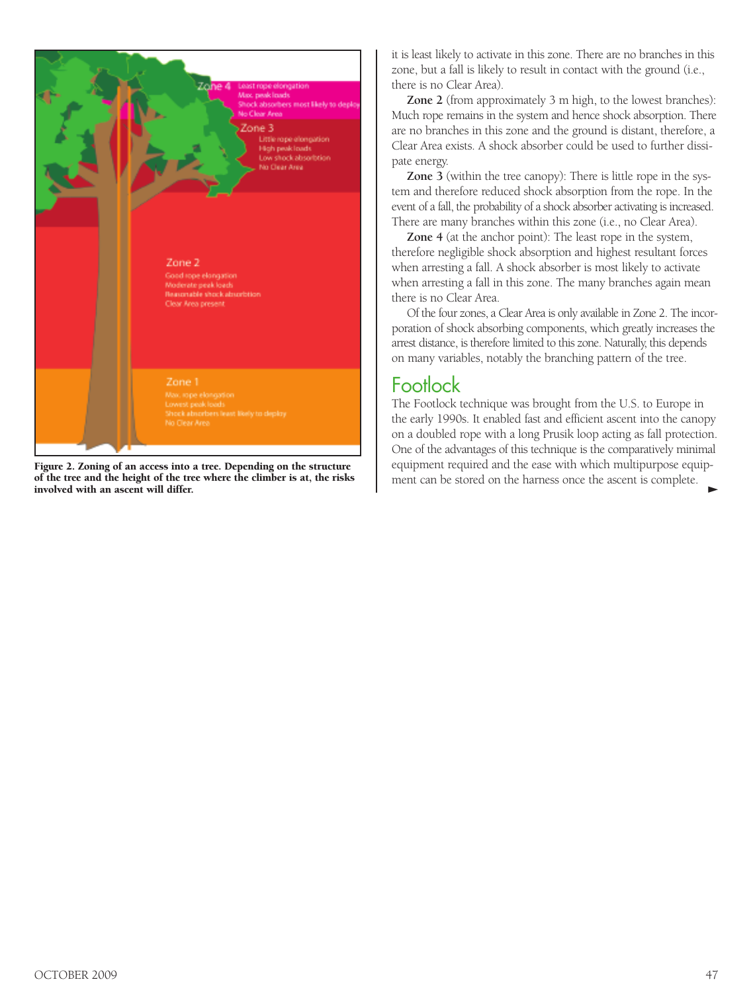

**Figure 2. Zoning of an access into a tree. Depending on the structure of the tree and the height of the tree where the climber is at, the risks** involved with an ascent will differ.

it is least likely to activate in this zone. There are no branches in this zone, but a fall is likely to result in contact with the ground (i.e., there is no Clear Area).

**Zone 2** (from approximately 3 m high, to the lowest branches): Much rope remains in the system and hence shock absorption. There are no branches in this zone and the ground is distant, therefore, a Clear Area exists. A shock absorber could be used to further dissipate energy.

**Zone 3** (within the tree canopy): There is little rope in the system and therefore reduced shock absorption from the rope. In the event of a fall, the probability of a shock absorber activating is increased. There are many branches within this zone (i.e., no Clear Area).

**Zone 4** (at the anchor point): The least rope in the system, therefore negligible shock absorption and highest resultant forces when arresting a fall. A shock absorber is most likely to activate when arresting a fall in this zone. The many branches again mean there is no Clear Area.

Of the four zones, a Clear Area is only available in Zone 2. The incorporation of shock absorbing components, which greatly increases the arrest distance, is therefore limited to this zone. Naturally, this depends on many variables, notably the branching pattern of the tree.

## Footlock

The Footlock technique was brought from the U.S. to Europe in the early 1990s. It enabled fast and efficient ascent into the canopy on a doubled rope with a long Prusik loop acting as fall protection. One of the advantages of this technique is the comparatively minimal equipment required and the ease with which multipurpose equipment can be stored on the harness once the ascent is complete.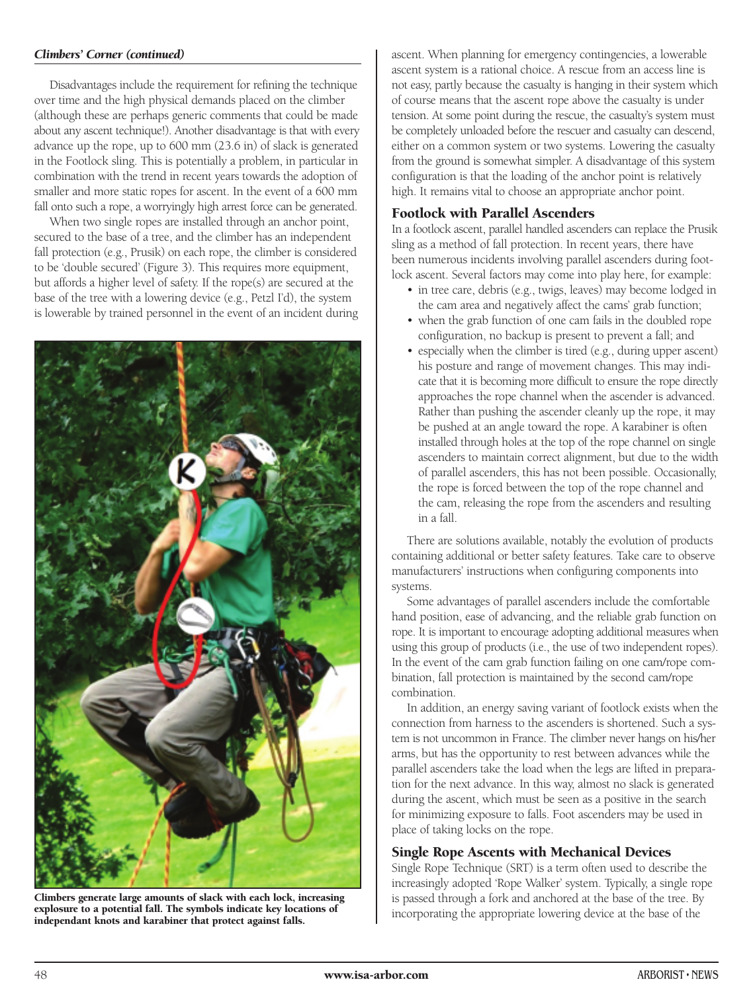#### *Climbers' Corner (continued)*

Disadvantages include the requirement for refining the technique over time and the high physical demands placed on the climber (although these are perhaps generic comments that could be made about any ascent technique!). Another disadvantage is that with every advance up the rope, up to 600 mm (23.6 in) of slack is generated in the Footlock sling. This is potentially a problem, in particular in combination with the trend in recent years towards the adoption of smaller and more static ropes for ascent. In the event of a 600 mm fall onto such a rope, a worryingly high arrest force can be generated.

When two single ropes are installed through an anchor point, secured to the base of a tree, and the climber has an independent fall protection (e.g., Prusik) on each rope, the climber is considered to be 'double secured' (Figure 3). This requires more equipment, but affords a higher level of safety. If the rope(s) are secured at the base of the tree with a lowering device (e.g., Petzl I'd), the system is lowerable by trained personnel in the event of an incident during



**Climbers generate large amounts of slack with each lock, increasing explosure to a potential fall. The symbols indicate key locations of independant knots and karabiner that protect against falls.**

ascent. When planning for emergency contingencies, a lowerable ascent system is a rational choice. A rescue from an access line is not easy, partly because the casualty is hanging in their system which of course means that the ascent rope above the casualty is under tension. At some point during the rescue, the casualty's system must be completely unloaded before the rescuer and casualty can descend, either on a common system or two systems. Lowering the casualty from the ground is somewhat simpler. A disadvantage of this system configuration is that the loading of the anchor point is relatively high. It remains vital to choose an appropriate anchor point.

#### **Footlock with Parallel Ascenders**

In a footlock ascent, parallel handled ascenders can replace the Prusik sling as a method of fall protection. In recent years, there have been numerous incidents involving parallel ascenders during footlock ascent. Several factors may come into play here, for example:

- in tree care, debris (e.g., twigs, leaves) may become lodged in the cam area and negatively affect the cams' grab function;
- when the grab function of one cam fails in the doubled rope configuration, no backup is present to prevent a fall; and
- especially when the climber is tired (e.g., during upper ascent) his posture and range of movement changes. This may indicate that it is becoming more difficult to ensure the rope directly approaches the rope channel when the ascender is advanced. Rather than pushing the ascender cleanly up the rope, it may be pushed at an angle toward the rope. A karabiner is often installed through holes at the top of the rope channel on single ascenders to maintain correct alignment, but due to the width of parallel ascenders, this has not been possible. Occasionally, the rope is forced between the top of the rope channel and the cam, releasing the rope from the ascenders and resulting in a fall.

There are solutions available, notably the evolution of products containing additional or better safety features. Take care to observe manufacturers' instructions when configuring components into systems.

Some advantages of parallel ascenders include the comfortable hand position, ease of advancing, and the reliable grab function on rope. It is important to encourage adopting additional measures when using this group of products (i.e., the use of two independent ropes). In the event of the cam grab function failing on one cam/rope combination, fall protection is maintained by the second cam/rope combination.

In addition, an energy saving variant of footlock exists when the connection from harness to the ascenders is shortened. Such a system is not uncommon in France. The climber never hangs on his/her arms, but has the opportunity to rest between advances while the parallel ascenders take the load when the legs are lifted in preparation for the next advance. In this way, almost no slack is generated during the ascent, which must be seen as a positive in the search for minimizing exposure to falls. Foot ascenders may be used in place of taking locks on the rope.

#### **Single Rope Ascents with Mechanical Devices**

Single Rope Technique (SRT) is a term often used to describe the increasingly adopted 'Rope Walker' system. Typically, a single rope is passed through a fork and anchored at the base of the tree. By incorporating the appropriate lowering device at the base of the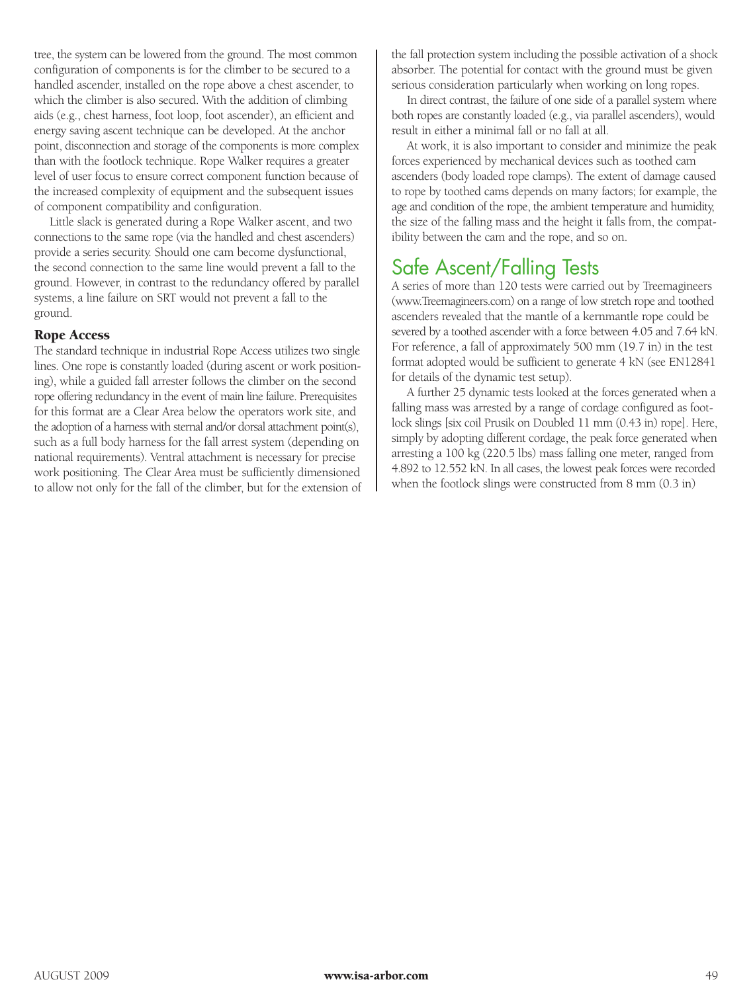tree, the system can be lowered from the ground. The most common configuration of components is for the climber to be secured to a handled ascender, installed on the rope above a chest ascender, to which the climber is also secured. With the addition of climbing aids (e.g., chest harness, foot loop, foot ascender), an efficient and energy saving ascent technique can be developed. At the anchor point, disconnection and storage of the components is more complex than with the footlock technique. Rope Walker requires a greater level of user focus to ensure correct component function because of the increased complexity of equipment and the subsequent issues of component compatibility and configuration.

Little slack is generated during a Rope Walker ascent, and two connections to the same rope (via the handled and chest ascenders) provide a series security. Should one cam become dysfunctional, the second connection to the same line would prevent a fall to the ground. However, in contrast to the redundancy offered by parallel systems, a line failure on SRT would not prevent a fall to the ground.

#### **Rope Access**

The standard technique in industrial Rope Access utilizes two single lines. One rope is constantly loaded (during ascent or work positioning), while a guided fall arrester follows the climber on the second rope offering redundancy in the event of main line failure. Prerequisites for this format are a Clear Area below the operators work site, and the adoption of a harness with sternal and/or dorsal attachment point(s), such as a full body harness for the fall arrest system (depending on national requirements). Ventral attachment is necessary for precise work positioning. The Clear Area must be sufficiently dimensioned to allow not only for the fall of the climber, but for the extension of the fall protection system including the possible activation of a shock absorber. The potential for contact with the ground must be given serious consideration particularly when working on long ropes.

In direct contrast, the failure of one side of a parallel system where both ropes are constantly loaded (e.g., via parallel ascenders), would result in either a minimal fall or no fall at all.

At work, it is also important to consider and minimize the peak forces experienced by mechanical devices such as toothed cam ascenders (body loaded rope clamps). The extent of damage caused to rope by toothed cams depends on many factors; for example, the age and condition of the rope, the ambient temperature and humidity, the size of the falling mass and the height it falls from, the compatibility between the cam and the rope, and so on.

## Safe Ascent/Falling Tests

A series of more than 120 tests were carried out by Treemagineers (www.Treemagineers.com) on a range of low stretch rope and toothed ascenders revealed that the mantle of a kernmantle rope could be severed by a toothed ascender with a force between 4.05 and 7.64 kN. For reference, a fall of approximately 500 mm (19.7 in) in the test format adopted would be sufficient to generate 4 kN (see EN12841 for details of the dynamic test setup).

A further 25 dynamic tests looked at the forces generated when a falling mass was arrested by a range of cordage configured as footlock slings [six coil Prusik on Doubled 11 mm (0.43 in) rope]. Here, simply by adopting different cordage, the peak force generated when arresting a 100 kg (220.5 lbs) mass falling one meter, ranged from 4.892 to 12.552 kN. In all cases, the lowest peak forces were recorded when the footlock slings were constructed from 8 mm (0.3 in)